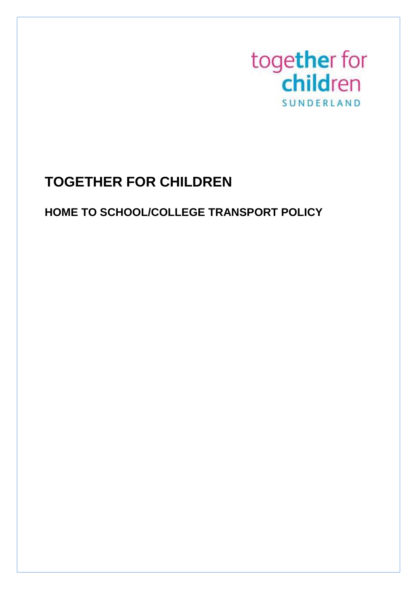

# **TOGETHER FOR CHILDREN**

# **HOME TO SCHOOL/COLLEGE TRANSPORT POLICY**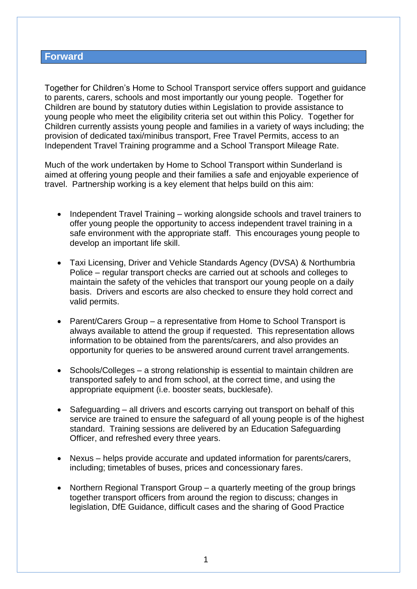## **Forward**

Together for Children's Home to School Transport service offers support and guidance to parents, carers, schools and most importantly our young people. Together for Children are bound by statutory duties within Legislation to provide assistance to young people who meet the eligibility criteria set out within this Policy. Together for Children currently assists young people and families in a variety of ways including; the provision of dedicated taxi/minibus transport, Free Travel Permits, access to an Independent Travel Training programme and a School Transport Mileage Rate.

Much of the work undertaken by Home to School Transport within Sunderland is aimed at offering young people and their families a safe and enjoyable experience of travel. Partnership working is a key element that helps build on this aim:

- Independent Travel Training working alongside schools and travel trainers to offer young people the opportunity to access independent travel training in a safe environment with the appropriate staff. This encourages young people to develop an important life skill.
- Taxi Licensing, Driver and Vehicle Standards Agency (DVSA) & Northumbria Police – regular transport checks are carried out at schools and colleges to maintain the safety of the vehicles that transport our young people on a daily basis. Drivers and escorts are also checked to ensure they hold correct and valid permits.
- Parent/Carers Group a representative from Home to School Transport is always available to attend the group if requested. This representation allows information to be obtained from the parents/carers, and also provides an opportunity for queries to be answered around current travel arrangements.
- Schools/Colleges a strong relationship is essential to maintain children are transported safely to and from school, at the correct time, and using the appropriate equipment (i.e. booster seats, bucklesafe).
- Safeguarding all drivers and escorts carrying out transport on behalf of this service are trained to ensure the safeguard of all young people is of the highest standard. Training sessions are delivered by an Education Safeguarding Officer, and refreshed every three years.
- Nexus helps provide accurate and updated information for parents/carers, including; timetables of buses, prices and concessionary fares.
- Northern Regional Transport Group a quarterly meeting of the group brings together transport officers from around the region to discuss; changes in legislation, DfE Guidance, difficult cases and the sharing of Good Practice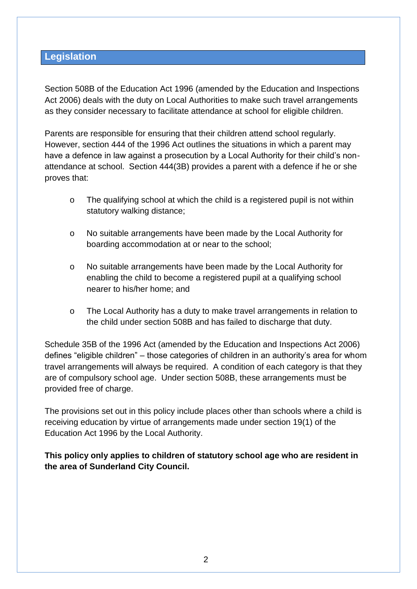# **Legislation**

Section 508B of the Education Act 1996 (amended by the Education and Inspections Act 2006) deals with the duty on Local Authorities to make such travel arrangements as they consider necessary to facilitate attendance at school for eligible children.

Parents are responsible for ensuring that their children attend school regularly. However, section 444 of the 1996 Act outlines the situations in which a parent may have a defence in law against a prosecution by a Local Authority for their child's nonattendance at school. Section 444(3B) provides a parent with a defence if he or she proves that:

- o The qualifying school at which the child is a registered pupil is not within statutory walking distance;
- o No suitable arrangements have been made by the Local Authority for boarding accommodation at or near to the school;
- o No suitable arrangements have been made by the Local Authority for enabling the child to become a registered pupil at a qualifying school nearer to his/her home; and
- o The Local Authority has a duty to make travel arrangements in relation to the child under section 508B and has failed to discharge that duty.

Schedule 35B of the 1996 Act (amended by the Education and Inspections Act 2006) defines "eligible children" – those categories of children in an authority's area for whom travel arrangements will always be required. A condition of each category is that they are of compulsory school age. Under section 508B, these arrangements must be provided free of charge.

The provisions set out in this policy include places other than schools where a child is receiving education by virtue of arrangements made under section 19(1) of the Education Act 1996 by the Local Authority.

**This policy only applies to children of statutory school age who are resident in the area of Sunderland City Council.**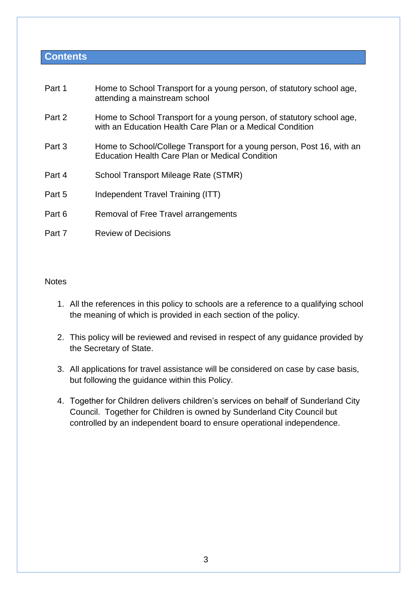# **Contents**

| Part 1 | Home to School Transport for a young person, of statutory school age,<br>attending a mainstream school                             |
|--------|------------------------------------------------------------------------------------------------------------------------------------|
| Part 2 | Home to School Transport for a young person, of statutory school age,<br>with an Education Health Care Plan or a Medical Condition |
| Part 3 | Home to School/College Transport for a young person, Post 16, with an<br><b>Education Health Care Plan or Medical Condition</b>    |
| Part 4 | School Transport Mileage Rate (STMR)                                                                                               |
| Part 5 | Independent Travel Training (ITT)                                                                                                  |
| Part 6 | Removal of Free Travel arrangements                                                                                                |
| Part 7 | <b>Review of Decisions</b>                                                                                                         |

## **Notes**

- 1. All the references in this policy to schools are a reference to a qualifying school the meaning of which is provided in each section of the policy.
- 2. This policy will be reviewed and revised in respect of any guidance provided by the Secretary of State.
- 3. All applications for travel assistance will be considered on case by case basis, but following the guidance within this Policy.
- 4. Together for Children delivers children's services on behalf of Sunderland City Council. Together for Children is owned by Sunderland City Council but controlled by an independent board to ensure operational independence.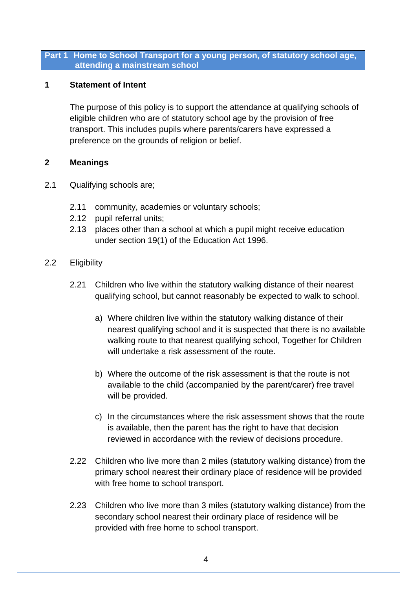## **Part 1 Home to School Transport for a young person, of statutory school age, attending a mainstream school**

# **1 Statement of Intent**

The purpose of this policy is to support the attendance at qualifying schools of eligible children who are of statutory school age by the provision of free transport. This includes pupils where parents/carers have expressed a preference on the grounds of religion or belief.

# **2 Meanings**

- 2.1 Qualifying schools are;
	- 2.11 community, academies or voluntary schools;
	- 2.12 pupil referral units;
	- 2.13 places other than a school at which a pupil might receive education under section 19(1) of the Education Act 1996.

# 2.2 Eligibility

- 2.21 Children who live within the statutory walking distance of their nearest qualifying school, but cannot reasonably be expected to walk to school.
	- a) Where children live within the statutory walking distance of their nearest qualifying school and it is suspected that there is no available walking route to that nearest qualifying school, Together for Children will undertake a risk assessment of the route.
	- b) Where the outcome of the risk assessment is that the route is not available to the child (accompanied by the parent/carer) free travel will be provided.
	- c) In the circumstances where the risk assessment shows that the route is available, then the parent has the right to have that decision reviewed in accordance with the review of decisions procedure.
- 2.22 Children who live more than 2 miles (statutory walking distance) from the primary school nearest their ordinary place of residence will be provided with free home to school transport.
- 2.23 Children who live more than 3 miles (statutory walking distance) from the secondary school nearest their ordinary place of residence will be provided with free home to school transport.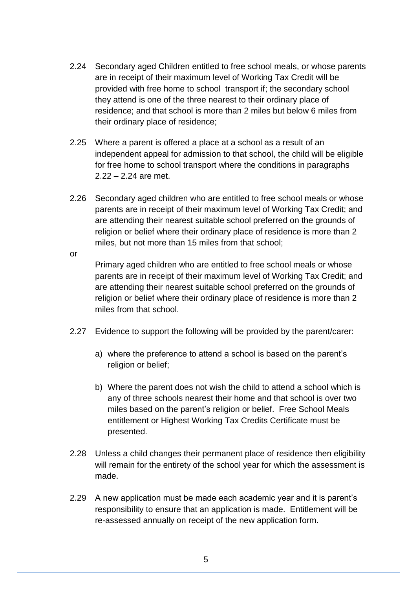- 2.24 Secondary aged Children entitled to free school meals, or whose parents are in receipt of their maximum level of Working Tax Credit will be provided with free home to school transport if; the secondary school they attend is one of the three nearest to their ordinary place of residence; and that school is more than 2 miles but below 6 miles from their ordinary place of residence;
- 2.25 Where a parent is offered a place at a school as a result of an independent appeal for admission to that school, the child will be eligible for free home to school transport where the conditions in paragraphs 2.22 – 2.24 are met.
- 2.26 Secondary aged children who are entitled to free school meals or whose parents are in receipt of their maximum level of Working Tax Credit; and are attending their nearest suitable school preferred on the grounds of religion or belief where their ordinary place of residence is more than 2 miles, but not more than 15 miles from that school;

or

Primary aged children who are entitled to free school meals or whose parents are in receipt of their maximum level of Working Tax Credit; and are attending their nearest suitable school preferred on the grounds of religion or belief where their ordinary place of residence is more than 2 miles from that school.

- 2.27 Evidence to support the following will be provided by the parent/carer:
	- a) where the preference to attend a school is based on the parent's religion or belief;
	- b) Where the parent does not wish the child to attend a school which is any of three schools nearest their home and that school is over two miles based on the parent's religion or belief. Free School Meals entitlement or Highest Working Tax Credits Certificate must be presented.
- 2.28 Unless a child changes their permanent place of residence then eligibility will remain for the entirety of the school year for which the assessment is made.
- 2.29 A new application must be made each academic year and it is parent's responsibility to ensure that an application is made. Entitlement will be re-assessed annually on receipt of the new application form.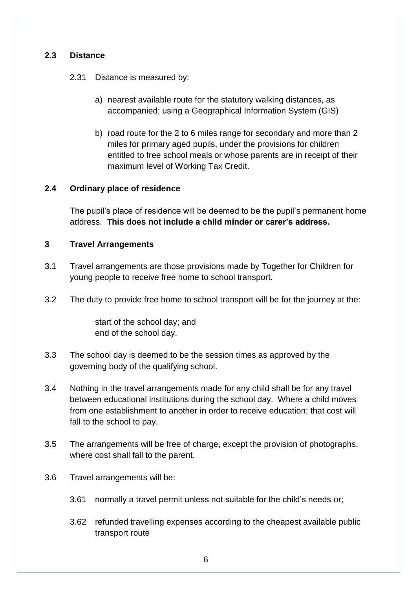# **2.3 Distance**

- 2.31 Distance is measured by:
	- a) nearest available route for the statutory walking distances, as accompanied; using a Geographical Information System (GIS)
	- b) road route for the 2 to 6 miles range for secondary and more than 2 miles for primary aged pupils, under the provisions for children entitled to free school meals or whose parents are in receipt of their maximum level of Working Tax Credit.

# **2.4 Ordinary place of residence**

The pupil's place of residence will be deemed to be the pupil's permanent home address. **This does not include a child minder or carer's address.**

# **3 Travel Arrangements**

- 3.1 Travel arrangements are those provisions made by Together for Children for young people to receive free home to school transport.
- 3.2 The duty to provide free home to school transport will be for the journey at the:

start of the school day; and end of the school day.

- 3.3 The school day is deemed to be the session times as approved by the governing body of the qualifying school.
- 3.4 Nothing in the travel arrangements made for any child shall be for any travel between educational institutions during the school day. Where a child moves from one establishment to another in order to receive education; that cost will fall to the school to pay.
- 3.5 The arrangements will be free of charge, except the provision of photographs, where cost shall fall to the parent.
- 3.6 Travel arrangements will be:
	- 3.61 normally a travel permit unless not suitable for the child's needs or;
	- 3.62 refunded travelling expenses according to the cheapest available public transport route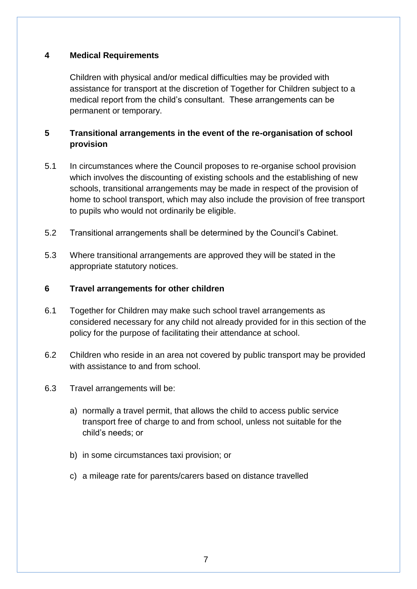# **4 Medical Requirements**

Children with physical and/or medical difficulties may be provided with assistance for transport at the discretion of Together for Children subject to a medical report from the child's consultant. These arrangements can be permanent or temporary.

# **5 Transitional arrangements in the event of the re-organisation of school provision**

- 5.1 In circumstances where the Council proposes to re-organise school provision which involves the discounting of existing schools and the establishing of new schools, transitional arrangements may be made in respect of the provision of home to school transport, which may also include the provision of free transport to pupils who would not ordinarily be eligible.
- 5.2 Transitional arrangements shall be determined by the Council's Cabinet.
- 5.3 Where transitional arrangements are approved they will be stated in the appropriate statutory notices.

# **6 Travel arrangements for other children**

- 6.1 Together for Children may make such school travel arrangements as considered necessary for any child not already provided for in this section of the policy for the purpose of facilitating their attendance at school.
- 6.2 Children who reside in an area not covered by public transport may be provided with assistance to and from school.
- 6.3 Travel arrangements will be:
	- a) normally a travel permit, that allows the child to access public service transport free of charge to and from school, unless not suitable for the child's needs; or
	- b) in some circumstances taxi provision; or
	- c) a mileage rate for parents/carers based on distance travelled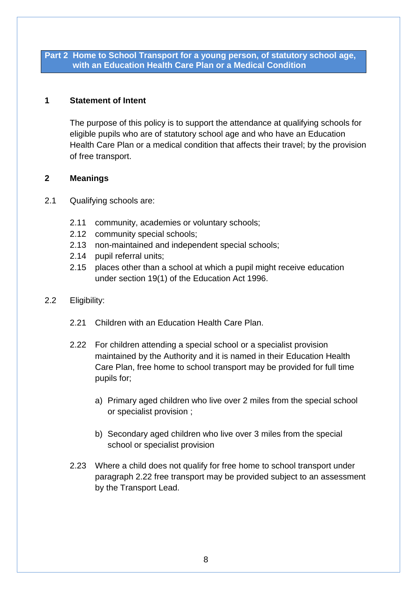## **Part 2 Home to School Transport for a young person, of statutory school age, with an Education Health Care Plan or a Medical Condition**

# **1 Statement of Intent**

The purpose of this policy is to support the attendance at qualifying schools for eligible pupils who are of statutory school age and who have an Education Health Care Plan or a medical condition that affects their travel; by the provision of free transport.

# **2 Meanings**

- 2.1 Qualifying schools are:
	- 2.11 community, academies or voluntary schools;
	- 2.12 community special schools;
	- 2.13 non-maintained and independent special schools;
	- 2.14 pupil referral units;
	- 2.15 places other than a school at which a pupil might receive education under section 19(1) of the Education Act 1996.
- 2.2 Eligibility:
	- 2.21 Children with an Education Health Care Plan.
	- 2.22 For children attending a special school or a specialist provision maintained by the Authority and it is named in their Education Health Care Plan, free home to school transport may be provided for full time pupils for;
		- a) Primary aged children who live over 2 miles from the special school or specialist provision ;
		- b) Secondary aged children who live over 3 miles from the special school or specialist provision
	- 2.23 Where a child does not qualify for free home to school transport under paragraph 2.22 free transport may be provided subject to an assessment by the Transport Lead.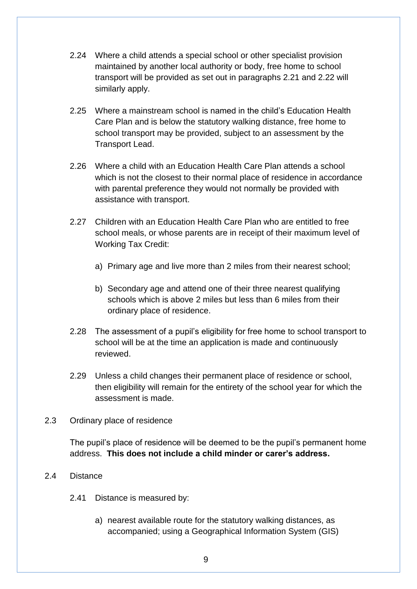- 2.24 Where a child attends a special school or other specialist provision maintained by another local authority or body, free home to school transport will be provided as set out in paragraphs 2.21 and 2.22 will similarly apply.
- 2.25 Where a mainstream school is named in the child's Education Health Care Plan and is below the statutory walking distance, free home to school transport may be provided, subject to an assessment by the Transport Lead.
- 2.26 Where a child with an Education Health Care Plan attends a school which is not the closest to their normal place of residence in accordance with parental preference they would not normally be provided with assistance with transport.
- 2.27 Children with an Education Health Care Plan who are entitled to free school meals, or whose parents are in receipt of their maximum level of Working Tax Credit:
	- a) Primary age and live more than 2 miles from their nearest school;
	- b) Secondary age and attend one of their three nearest qualifying schools which is above 2 miles but less than 6 miles from their ordinary place of residence.
- 2.28 The assessment of a pupil's eligibility for free home to school transport to school will be at the time an application is made and continuously reviewed.
- 2.29 Unless a child changes their permanent place of residence or school, then eligibility will remain for the entirety of the school year for which the assessment is made.
- 2.3 Ordinary place of residence

The pupil's place of residence will be deemed to be the pupil's permanent home address. **This does not include a child minder or carer's address.**

- 2.4 Distance
	- 2.41 Distance is measured by:
		- a) nearest available route for the statutory walking distances, as accompanied; using a Geographical Information System (GIS)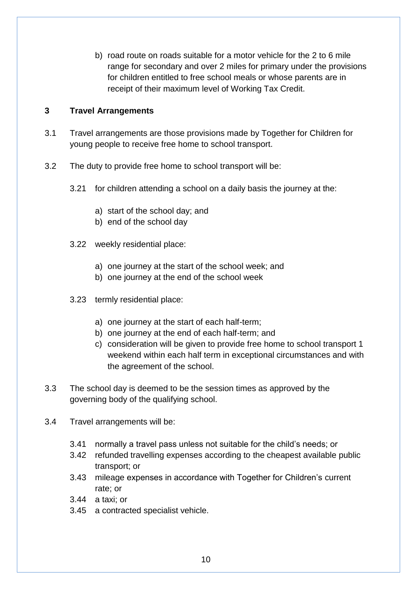b) road route on roads suitable for a motor vehicle for the 2 to 6 mile range for secondary and over 2 miles for primary under the provisions for children entitled to free school meals or whose parents are in receipt of their maximum level of Working Tax Credit.

# **3 Travel Arrangements**

- 3.1 Travel arrangements are those provisions made by Together for Children for young people to receive free home to school transport.
- 3.2 The duty to provide free home to school transport will be:
	- 3.21 for children attending a school on a daily basis the journey at the:
		- a) start of the school day; and
		- b) end of the school day
	- 3.22 weekly residential place:
		- a) one journey at the start of the school week; and
		- b) one journey at the end of the school week
	- 3.23 termly residential place:
		- a) one journey at the start of each half-term;
		- b) one journey at the end of each half-term; and
		- c) consideration will be given to provide free home to school transport 1 weekend within each half term in exceptional circumstances and with the agreement of the school.
- 3.3 The school day is deemed to be the session times as approved by the governing body of the qualifying school.
- 3.4 Travel arrangements will be:
	- 3.41 normally a travel pass unless not suitable for the child's needs; or
	- 3.42 refunded travelling expenses according to the cheapest available public transport; or
	- 3.43 mileage expenses in accordance with Together for Children's current rate; or
	- 3.44 a taxi; or
	- 3.45 a contracted specialist vehicle.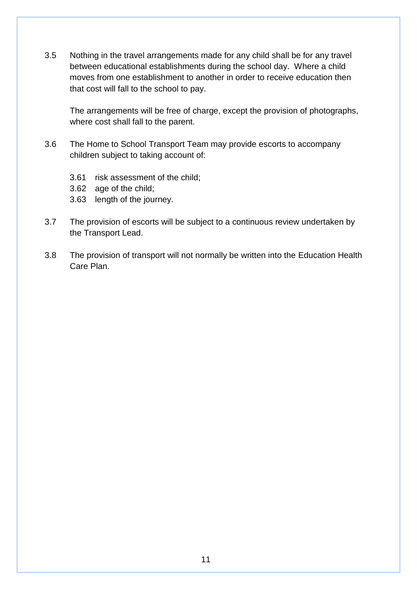3.5 Nothing in the travel arrangements made for any child shall be for any travel between educational establishments during the school day. Where a child moves from one establishment to another in order to receive education then that cost will fall to the school to pay.

The arrangements will be free of charge, except the provision of photographs, where cost shall fall to the parent.

- 3.6 The Home to School Transport Team may provide escorts to accompany children subject to taking account of:
	- 3.61 risk assessment of the child;
	- 3.62 age of the child;
	- 3.63 length of the journey.
- 3.7 The provision of escorts will be subject to a continuous review undertaken by the Transport Lead.
- 3.8 The provision of transport will not normally be written into the Education Health Care Plan.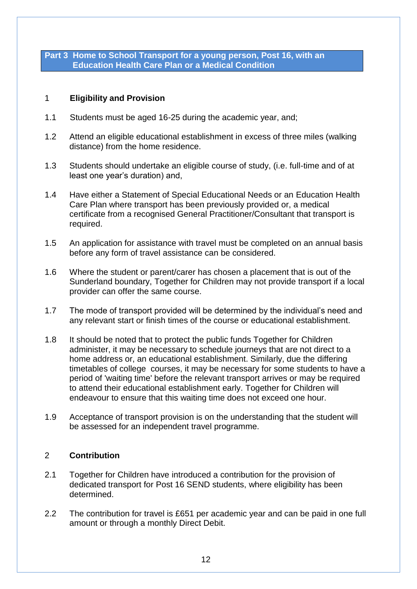**Part 3 Home to School Transport for a young person, Post 16, with an Education Health Care Plan or a Medical Condition**

# 1 **Eligibility and Provision**

- 1.1 Students must be aged 16-25 during the academic year, and;
- 1.2 Attend an eligible educational establishment in excess of three miles (walking distance) from the home residence.
- 1.3 Students should undertake an eligible course of study, (i.e. full-time and of at least one year's duration) and,
- 1.4 Have either a Statement of Special Educational Needs or an Education Health Care Plan where transport has been previously provided or, a medical certificate from a recognised General Practitioner/Consultant that transport is required.
- 1.5 An application for assistance with travel must be completed on an annual basis before any form of travel assistance can be considered.
- 1.6 Where the student or parent/carer has chosen a placement that is out of the Sunderland boundary, Together for Children may not provide transport if a local provider can offer the same course.
- 1.7 The mode of transport provided will be determined by the individual's need and any relevant start or finish times of the course or educational establishment.
- 1.8 It should be noted that to protect the public funds Together for Children administer, it may be necessary to schedule journeys that are not direct to a home address or, an educational establishment. Similarly, due the differing timetables of college courses, it may be necessary for some students to have a period of 'waiting time' before the relevant transport arrives or may be required to attend their educational establishment early. Together for Children will endeavour to ensure that this waiting time does not exceed one hour.
- 1.9 Acceptance of transport provision is on the understanding that the student will be assessed for an independent travel programme.

# 2 **Contribution**

- 2.1 Together for Children have introduced a contribution for the provision of dedicated transport for Post 16 SEND students, where eligibility has been determined.
- 2.2 The contribution for travel is £651 per academic year and can be paid in one full amount or through a monthly Direct Debit.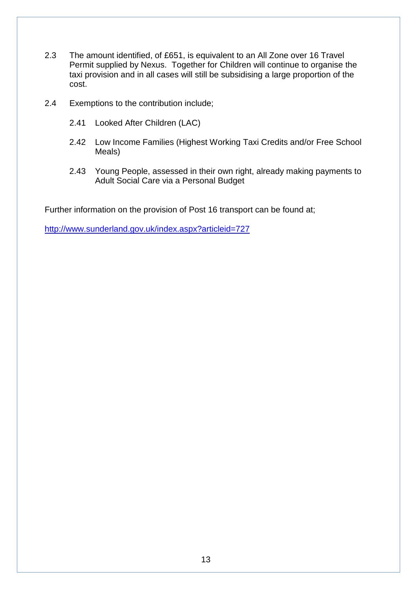- 2.3 The amount identified, of £651, is equivalent to an All Zone over 16 Travel Permit supplied by Nexus. Together for Children will continue to organise the taxi provision and in all cases will still be subsidising a large proportion of the cost.
- 2.4 Exemptions to the contribution include;
	- 2.41 Looked After Children (LAC)
	- 2.42 Low Income Families (Highest Working Taxi Credits and/or Free School Meals)
	- 2.43 Young People, assessed in their own right, already making payments to Adult Social Care via a Personal Budget

Further information on the provision of Post 16 transport can be found at;

<http://www.sunderland.gov.uk/index.aspx?articleid=727>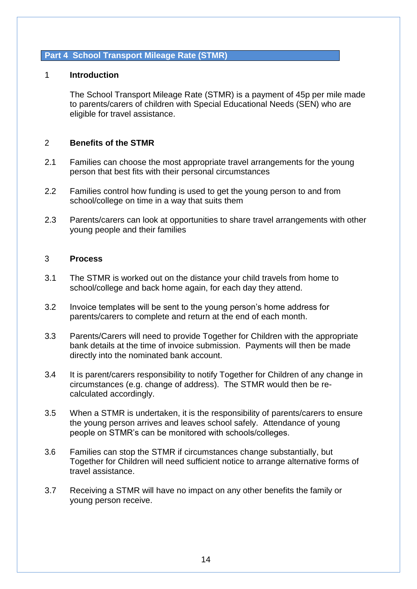#### **Part 4 School Transport Mileage Rate (STMR)**

#### 1 **Introduction**

The School Transport Mileage Rate (STMR) is a payment of 45p per mile made to parents/carers of children with Special Educational Needs (SEN) who are eligible for travel assistance.

#### 2 **Benefits of the STMR**

- 2.1 Families can choose the most appropriate travel arrangements for the young person that best fits with their personal circumstances
- 2.2 Families control how funding is used to get the young person to and from school/college on time in a way that suits them
- 2.3 Parents/carers can look at opportunities to share travel arrangements with other young people and their families

#### 3 **Process**

- 3.1 The STMR is worked out on the distance your child travels from home to school/college and back home again, for each day they attend.
- 3.2 Invoice templates will be sent to the young person's home address for parents/carers to complete and return at the end of each month.
- 3.3 Parents/Carers will need to provide Together for Children with the appropriate bank details at the time of invoice submission. Payments will then be made directly into the nominated bank account.
- 3.4 It is parent/carers responsibility to notify Together for Children of any change in circumstances (e.g. change of address). The STMR would then be recalculated accordingly.
- 3.5 When a STMR is undertaken, it is the responsibility of parents/carers to ensure the young person arrives and leaves school safely. Attendance of young people on STMR's can be monitored with schools/colleges.
- 3.6 Families can stop the STMR if circumstances change substantially, but Together for Children will need sufficient notice to arrange alternative forms of travel assistance.
- 3.7 Receiving a STMR will have no impact on any other benefits the family or young person receive.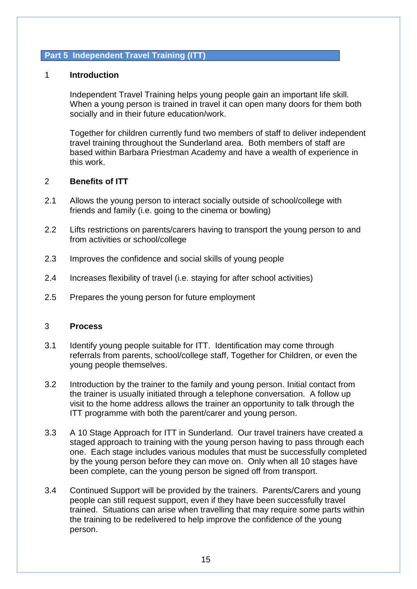### **Part 5 Independent Travel Training (ITT)**

#### 1 **Introduction**

Independent Travel Training helps young people gain an important life skill. When a young person is trained in travel it can open many doors for them both socially and in their future education/work.

Together for children currently fund two members of staff to deliver independent travel training throughout the Sunderland area. Both members of staff are based within Barbara Priestman Academy and have a wealth of experience in this work.

## 2 **Benefits of ITT**

- 2.1 Allows the young person to interact socially outside of school/college with friends and family (i.e. going to the cinema or bowling)
- 2.2 Lifts restrictions on parents/carers having to transport the young person to and from activities or school/college
- 2.3 Improves the confidence and social skills of young people
- 2.4 Increases flexibility of travel (i.e. staying for after school activities)
- 2.5 Prepares the young person for future employment

#### 3 **Process**

- 3.1 Identify young people suitable for ITT. Identification may come through referrals from parents, school/college staff, Together for Children, or even the young people themselves.
- 3.2 Introduction by the trainer to the family and young person. Initial contact from the trainer is usually initiated through a telephone conversation. A follow up visit to the home address allows the trainer an opportunity to talk through the ITT programme with both the parent/carer and young person.
- 3.3 A 10 Stage Approach for ITT in Sunderland. Our travel trainers have created a staged approach to training with the young person having to pass through each one. Each stage includes various modules that must be successfully completed by the young person before they can move on. Only when all 10 stages have been complete, can the young person be signed off from transport.
- 3.4 Continued Support will be provided by the trainers. Parents/Carers and young people can still request support, even if they have been successfully travel trained. Situations can arise when travelling that may require some parts within the training to be redelivered to help improve the confidence of the young person.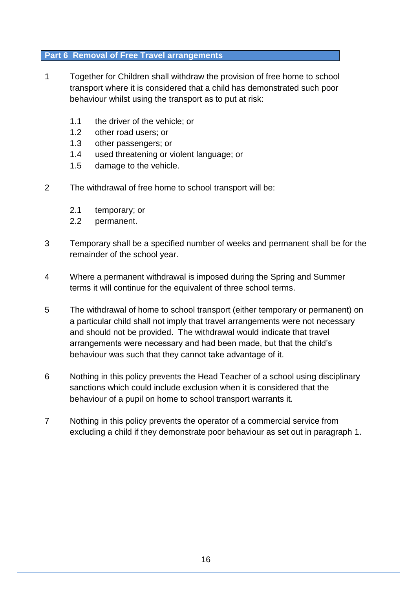## **Part 6 Removal of Free Travel arrangements**

- 1 Together for Children shall withdraw the provision of free home to school transport where it is considered that a child has demonstrated such poor behaviour whilst using the transport as to put at risk:
	- 1.1 the driver of the vehicle; or
	- 1.2 other road users; or
	- 1.3 other passengers; or
	- 1.4 used threatening or violent language; or
	- 1.5 damage to the vehicle.
- 2 The withdrawal of free home to school transport will be:
	- 2.1 temporary; or
	- 2.2 permanent.
- 3 Temporary shall be a specified number of weeks and permanent shall be for the remainder of the school year.
- 4 Where a permanent withdrawal is imposed during the Spring and Summer terms it will continue for the equivalent of three school terms.
- 5 The withdrawal of home to school transport (either temporary or permanent) on a particular child shall not imply that travel arrangements were not necessary and should not be provided. The withdrawal would indicate that travel arrangements were necessary and had been made, but that the child's behaviour was such that they cannot take advantage of it.
- 6 Nothing in this policy prevents the Head Teacher of a school using disciplinary sanctions which could include exclusion when it is considered that the behaviour of a pupil on home to school transport warrants it.
- 7 Nothing in this policy prevents the operator of a commercial service from excluding a child if they demonstrate poor behaviour as set out in paragraph 1.